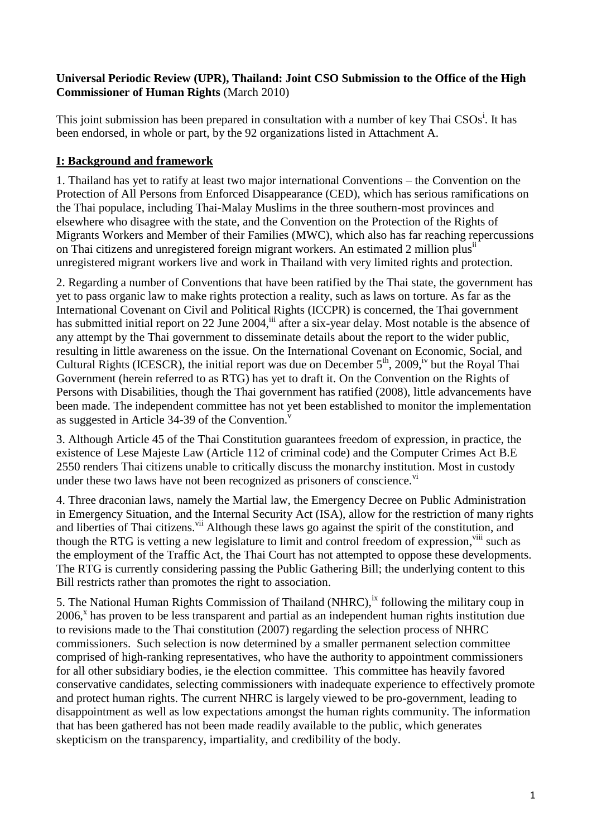## **Universal Periodic Review (UPR), Thailand: Joint CSO Submission to the Office of the High Commissioner of Human Rights** (March 2010)

This joint submission has been prepared in consultation with a number of key Thai CSOs<sup>i</sup>. It has been endorsed, in whole or part, by the 92 organizations listed in Attachment A.

## **I: Background and framework**

1. Thailand has yet to ratify at least two major international Conventions – the Convention on the Protection of All Persons from Enforced Disappearance (CED), which has serious ramifications on the Thai populace, including Thai-Malay Muslims in the three southern-most provinces and elsewhere who disagree with the state, and the Convention on the Protection of the Rights of Migrants Workers and Member of their Families (MWC), which also has far reaching repercussions on Thai citizens and unregistered foreign migrant workers. An estimated 2 million plusii unregistered migrant workers live and work in Thailand with very limited rights and protection.

2. Regarding a number of Conventions that have been ratified by the Thai state, the government has yet to pass organic law to make rights protection a reality, such as laws on torture. As far as the International Covenant on Civil and Political Rights (ICCPR) is concerned, the Thai government has submitted initial report on 22 June 2004,<sup>iii</sup> after a six-year delay. Most notable is the absence of any attempt by the Thai government to disseminate details about the report to the wider public, resulting in little awareness on the issue. On the International Covenant on Economic, Social, and Cultural Rights (ICESCR), the initial report was due on December  $5<sup>th</sup>$ , 2009,<sup>iv</sup> but the Royal Thai Government (herein referred to as RTG) has yet to draft it. On the Convention on the Rights of Persons with Disabilities, though the Thai government has ratified (2008), little advancements have been made. The independent committee has not yet been established to monitor the implementation as suggested in Article 34-39 of the Convention.<sup>v</sup>

3. Although Article 45 of the Thai Constitution guarantees freedom of expression, in practice, the existence of Lese Majeste Law (Article 112 of criminal code) and the Computer Crimes Act B.E 2550 renders Thai citizens unable to critically discuss the monarchy institution. Most in custody under these two laws have not been recognized as prisoners of conscience. $v<sup>i</sup>$ 

4. Three draconian laws, namely the Martial law, the Emergency Decree on Public Administration in Emergency Situation, and the Internal Security Act (ISA), allow for the restriction of many rights and liberties of Thai citizens.<sup>vii</sup> Although these laws go against the spirit of the constitution, and though the RTG is vetting a new legislature to limit and control freedom of expression,<sup>viii</sup> such as the employment of the Traffic Act, the Thai Court has not attempted to oppose these developments. The RTG is currently considering passing the Public Gathering Bill; the underlying content to this Bill restricts rather than promotes the right to association.

5. The National Human Rights Commission of Thailand (NHRC),  $\frac{1}{x}$  following the military coup in 2006,<sup>x</sup> has proven to be less transparent and partial as an independent human rights institution due to revisions made to the Thai constitution (2007) regarding the selection process of NHRC commissioners. Such selection is now determined by a smaller permanent selection committee comprised of high-ranking representatives, who have the authority to appointment commissioners for all other subsidiary bodies, ie the election committee. This committee has heavily favored conservative candidates, selecting commissioners with inadequate experience to effectively promote and protect human rights. The current NHRC is largely viewed to be pro-government, leading to disappointment as well as low expectations amongst the human rights community. The information that has been gathered has not been made readily available to the public, which generates skepticism on the transparency, impartiality, and credibility of the body.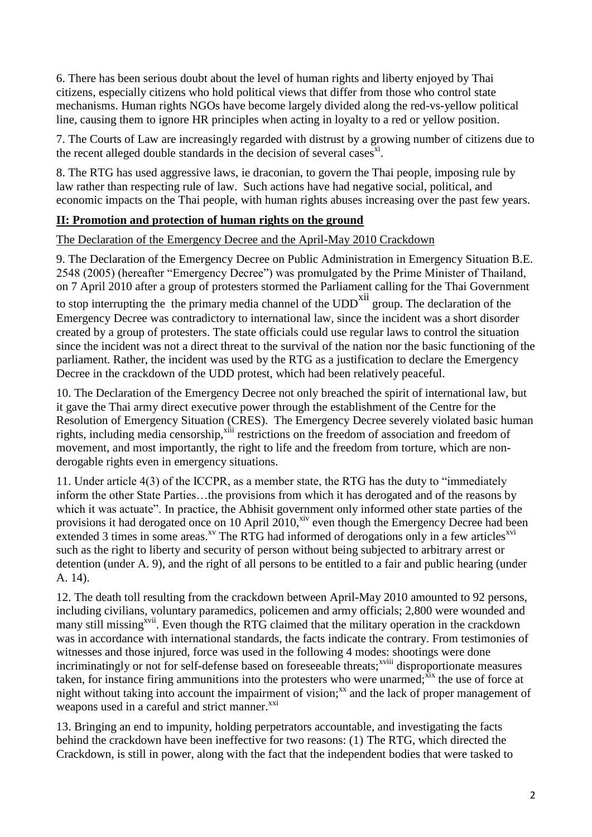6. There has been serious doubt about the level of human rights and liberty enjoyed by Thai citizens, especially citizens who hold political views that differ from those who control state mechanisms. Human rights NGOs have become largely divided along the red-vs-yellow political line, causing them to ignore HR principles when acting in loyalty to a red or yellow position.

7. The Courts of Law are increasingly regarded with distrust by a growing number of citizens due to the recent alleged double standards in the decision of several cases $x_i$ .

8. The RTG has used aggressive laws, ie draconian, to govern the Thai people, imposing rule by law rather than respecting rule of law. Such actions have had negative social, political, and economic impacts on the Thai people, with human rights abuses increasing over the past few years.

## **II: Promotion and protection of human rights on the ground**

## The Declaration of the Emergency Decree and the April-May 2010 Crackdown

9. The Declaration of the Emergency Decree on Public Administration in Emergency Situation B.E. 2548 (2005) (hereafter "Emergency Decree") was promulgated by the Prime Minister of Thailand, on 7 April 2010 after a group of protesters stormed the Parliament calling for the Thai Government to stop interrupting the the primary media channel of the  $\text{UDD}^{\text{Xii}}$  group. The declaration of the Emergency Decree was contradictory to international law, since the incident was a short disorder created by a group of protesters. The state officials could use regular laws to control the situation since the incident was not a direct threat to the survival of the nation nor the basic functioning of the parliament. Rather, the incident was used by the RTG as a justification to declare the Emergency Decree in the crackdown of the UDD protest, which had been relatively peaceful.

10. The Declaration of the Emergency Decree not only breached the spirit of international law, but it gave the Thai army direct executive power through the establishment of the Centre for the Resolution of Emergency Situation (CRES). The Emergency Decree severely violated basic human rights, including media censorship,<sup>xiii</sup> restrictions on the freedom of association and freedom of movement, and most importantly, the right to life and the freedom from torture, which are nonderogable rights even in emergency situations.

11. Under article  $4(3)$  of the ICCPR, as a member state, the RTG has the duty to "immediately inform the other State Parties…the provisions from which it has derogated and of the reasons by which it was actuate". In practice, the Abhisit government only informed other state parties of the provisions it had derogated once on 10 April  $2010$ <sup>xiv</sup> even though the Emergency Decree had been extended 3 times in some areas.<sup>xv</sup> The RTG had informed of derogations only in a few articles<sup>xvi</sup> such as the right to liberty and security of person without being subjected to arbitrary arrest or detention (under A. 9), and the right of all persons to be entitled to a fair and public hearing (under A. 14).

12. The death toll resulting from the crackdown between April-May 2010 amounted to 92 persons, including civilians, voluntary paramedics, policemen and army officials; 2,800 were wounded and many still missing<sup>xvii</sup>. Even though the RTG claimed that the military operation in the crackdown was in accordance with international standards, the facts indicate the contrary. From testimonies of witnesses and those injured, force was used in the following 4 modes: shootings were done incriminatingly or not for self-defense based on foreseeable threats;<sup>xviii</sup> disproportionate measures taken, for instance firing ammunitions into the protesters who were unarmed; $\bar{x}$  the use of force at night without taking into account the impairment of vision;<sup>xx</sup> and the lack of proper management of weapons used in a careful and strict manner.<sup>xxi</sup>

13. Bringing an end to impunity, holding perpetrators accountable, and investigating the facts behind the crackdown have been ineffective for two reasons: (1) The RTG, which directed the Crackdown, is still in power, along with the fact that the independent bodies that were tasked to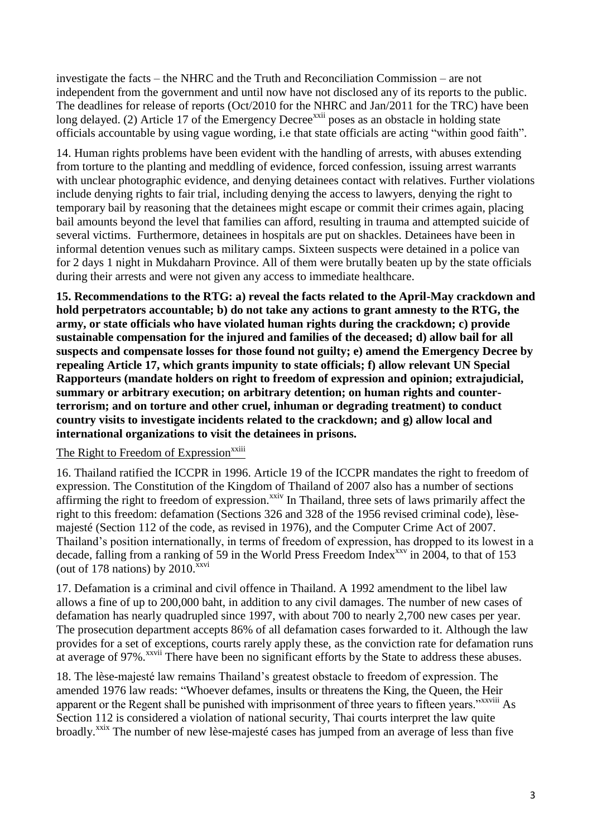investigate the facts – the NHRC and the Truth and Reconciliation Commission – are not independent from the government and until now have not disclosed any of its reports to the public. The deadlines for release of reports (Oct/2010 for the NHRC and Jan/2011 for the TRC) have been long delayed. (2) Article 17 of the Emergency Decree<sup>xxii</sup> poses as an obstacle in holding state officials accountable by using vague wording, i.e that state officials are acting "within good faith".

14. Human rights problems have been evident with the handling of arrests, with abuses extending from torture to the planting and meddling of evidence, forced confession, issuing arrest warrants with unclear photographic evidence, and denying detainees contact with relatives. Further violations include denying rights to fair trial, including denying the access to lawyers, denying the right to temporary bail by reasoning that the detainees might escape or commit their crimes again, placing bail amounts beyond the level that families can afford, resulting in trauma and attempted suicide of several victims. Furthermore, detainees in hospitals are put on shackles. Detainees have been in informal detention venues such as military camps. Sixteen suspects were detained in a police van for 2 days 1 night in Mukdaharn Province. All of them were brutally beaten up by the state officials during their arrests and were not given any access to immediate healthcare.

**15. Recommendations to the RTG: a) reveal the facts related to the April-May crackdown and hold perpetrators accountable; b) do not take any actions to grant amnesty to the RTG, the army, or state officials who have violated human rights during the crackdown; c) provide sustainable compensation for the injured and families of the deceased; d) allow bail for all suspects and compensate losses for those found not guilty; e) amend the Emergency Decree by repealing Article 17, which grants impunity to state officials; f) allow relevant UN Special Rapporteurs (mandate holders on right to freedom of expression and opinion; extrajudicial, summary or arbitrary execution; on arbitrary detention; on human rights and counterterrorism; and on torture and other cruel, inhuman or degrading treatment) to conduct country visits to investigate incidents related to the crackdown; and g) allow local and international organizations to visit the detainees in prisons.**

## The Right to Freedom of Expression<sup>xxiii</sup>

16. Thailand ratified the ICCPR in 1996. Article 19 of the ICCPR mandates the right to freedom of expression. The Constitution of the Kingdom of Thailand of 2007 also has a number of sections affirming the right to freedom of expression.<sup>xxiv</sup> In Thailand, three sets of laws primarily affect the right to this freedom: defamation (Sections 326 and 328 of the 1956 revised criminal code), lèsemajesté (Section 112 of the code, as revised in 1976), and the Computer Crime Act of 2007. Thailand's position internationally, in terms of freedom of expression, has dropped to its lowest in a decade, falling from a ranking of 59 in the World Press Freedom Index<sup>xxv</sup> in 2004, to that of 153 (out of 178 nations) by  $2010$ <sup>xxvi</sup>

17. Defamation is a criminal and civil offence in Thailand. A 1992 amendment to the libel law allows a fine of up to 200,000 baht, in addition to any civil damages. The number of new cases of defamation has nearly quadrupled since 1997, with about 700 to nearly 2,700 new cases per year. The prosecution department accepts 86% of all defamation cases forwarded to it. Although the law provides for a set of exceptions, courts rarely apply these, as the conviction rate for defamation runs at average of 97%.<sup>xxvii</sup> There have been no significant efforts by the State to address these abuses.

18. The lèse-majesté law remains Thailand's greatest obstacle to freedom of expression. The amended 1976 law reads: "Whoever defames, insults or threatens the King, the Queen, the Heir apparent or the Regent shall be punished with imprisonment of three years to fifteen years."<sup>xxviii</sup> As Section 112 is considered a violation of national security, Thai courts interpret the law quite broadly.<sup>xxix</sup> The number of new lèse-majesté cases has jumped from an average of less than five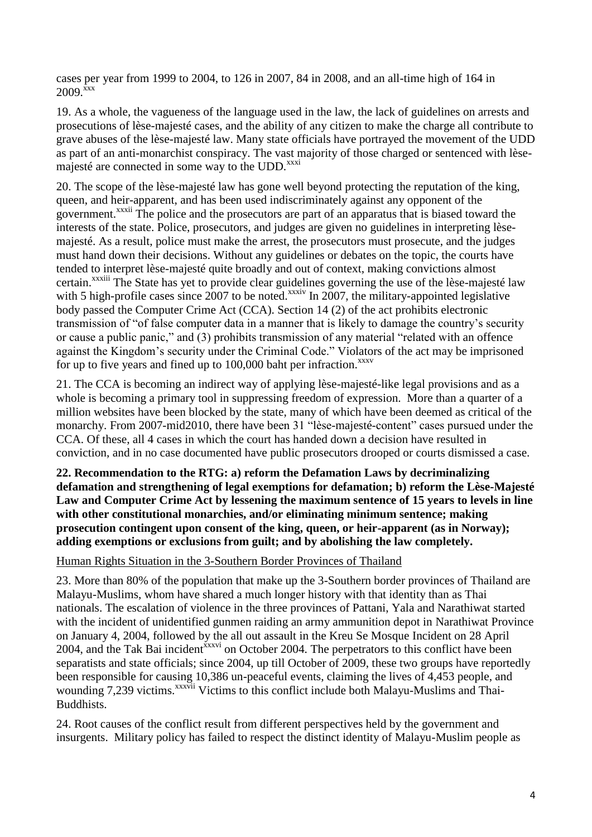cases per year from 1999 to 2004, to 126 in 2007, 84 in 2008, and an all-time high of 164 in  $2009.$ <sup>xxx</sup>

19. As a whole, the vagueness of the language used in the law, the lack of guidelines on arrests and prosecutions of lèse-majesté cases, and the ability of any citizen to make the charge all contribute to grave abuses of the lèse-majesté law. Many state officials have portrayed the movement of the UDD as part of an anti-monarchist conspiracy. The vast majority of those charged or sentenced with lèsemajesté are connected in some way to the UDD.<sup>xxxi</sup>

20. The scope of the lèse-majesté law has gone well beyond protecting the reputation of the king, queen, and heir-apparent, and has been used indiscriminately against any opponent of the government.<sup>xxxii</sup> The police and the prosecutors are part of an apparatus that is biased toward the interests of the state. Police, prosecutors, and judges are given no guidelines in interpreting lèsemajesté. As a result, police must make the arrest, the prosecutors must prosecute, and the judges must hand down their decisions. Without any guidelines or debates on the topic, the courts have tended to interpret lèse-majesté quite broadly and out of context, making convictions almost certain.<sup>xxxiii</sup> The State has yet to provide clear guidelines governing the use of the lèse-majesté law with 5 high-profile cases since 2007 to be noted.<sup>xxxiv</sup> In 2007, the military-appointed legislative body passed the Computer Crime Act (CCA). Section 14 (2) of the act prohibits electronic transmission of "of false computer data in a manner that is likely to damage the country's security or cause a public panic," and (3) prohibits transmission of any material "related with an offence against the Kingdom's security under the Criminal Code." Violators of the act may be imprisoned for up to five years and fined up to  $100,000$  baht per infraction.<sup>xxxv</sup>

21. The CCA is becoming an indirect way of applying lèse-majesté-like legal provisions and as a whole is becoming a primary tool in suppressing freedom of expression. More than a quarter of a million websites have been blocked by the state, many of which have been deemed as critical of the monarchy. From 2007-mid2010, there have been 31 "lèse-majesté-content" cases pursued under the CCA. Of these, all 4 cases in which the court has handed down a decision have resulted in conviction, and in no case documented have public prosecutors drooped or courts dismissed a case.

**22. Recommendation to the RTG: a) reform the Defamation Laws by decriminalizing defamation and strengthening of legal exemptions for defamation; b) reform the Lèse-Majesté Law and Computer Crime Act by lessening the maximum sentence of 15 years to levels in line with other constitutional monarchies, and/or eliminating minimum sentence; making prosecution contingent upon consent of the king, queen, or heir-apparent (as in Norway); adding exemptions or exclusions from guilt; and by abolishing the law completely.**

Human Rights Situation in the 3-Southern Border Provinces of Thailand

23. More than 80% of the population that make up the 3-Southern border provinces of Thailand are Malayu-Muslims, whom have shared a much longer history with that identity than as Thai nationals. The escalation of violence in the three provinces of Pattani, Yala and Narathiwat started with the incident of unidentified gunmen raiding an army ammunition depot in [Narathiwat Province](http://en.wikipedia.org/wiki/Narathiwat_Province) on January 4, 2004, followed by the all out assault in the Kreu Se Mosque Incident on 28 April 2004, and the Tak Bai incident  $\frac{x}{x}$  on October 2004. The perpetrators to this conflict have been separatists and state officials; since 2004, up till October of 2009, these two groups have reportedly been responsible for causing 10,386 un-peaceful events, claiming the lives of 4,453 people, and wounding 7,239 victims.<sup>xxxvii</sup> Victims to this conflict include both Malayu-Muslims and Thai-Buddhists.

24. Root causes of the conflict result from different perspectives held by the government and insurgents. Military policy has failed to respect the distinct identity of Malayu-Muslim people as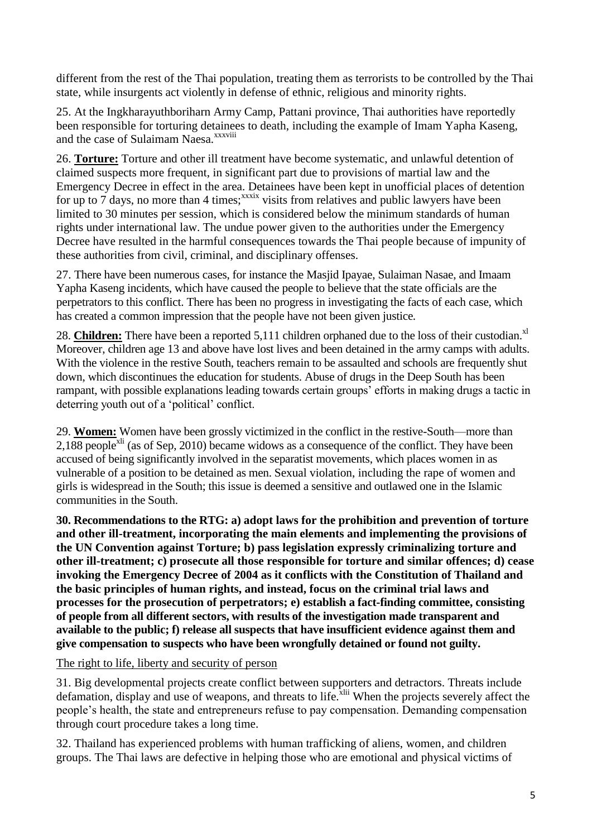different from the rest of the Thai population, treating them as terrorists to be controlled by the Thai state, while insurgents act violently in defense of ethnic, religious and minority rights.

25. At the Ingkharayuthboriharn Army Camp, Pattani province, Thai authorities have reportedly been responsible for torturing detainees to death, including the example of Imam Yapha Kaseng, and the case of Sulaimam Naesa.<sup>xxxviii</sup>

26. **Torture:** Torture and other ill treatment have become systematic, and unlawful detention of claimed suspects more frequent, in significant part due to provisions of martial law and the Emergency Decree in effect in the area. Detainees have been kept in unofficial places of detention for up to  $\overline{7}$  days, no more than 4 times;<sup>xxxix</sup> visits from relatives and public lawyers have been limited to 30 minutes per session, which is considered below the minimum standards of human rights under international law. The undue power given to the authorities under the Emergency Decree have resulted in the harmful consequences towards the Thai people because of impunity of these authorities from civil, criminal, and disciplinary offenses.

27. There have been numerous cases, for instance the Masjid Ipayae, Sulaiman Nasae, and Imaam Yapha Kaseng incidents, which have caused the people to believe that the state officials are the perpetrators to this conflict. There has been no progress in investigating the facts of each case, which has created a common impression that the people have not been given justice.

28. **Children:** There have been a reported 5,111 children orphaned due to the loss of their custodian.<sup>xl</sup> Moreover, children age 13 and above have lost lives and been detained in the army camps with adults. With the violence in the restive South, teachers remain to be assaulted and schools are frequently shut down, which discontinues the education for students. Abuse of drugs in the Deep South has been rampant, with possible explanations leading towards certain groups' efforts in making drugs a tactic in deterring youth out of a 'political' conflict.

29. **Women:** Women have been grossly victimized in the conflict in the restive-South—more than  $2,188$  people<sup>xli</sup> (as of Sep, 2010) became widows as a consequence of the conflict. They have been accused of being significantly involved in the separatist movements, which places women in as vulnerable of a position to be detained as men. Sexual violation, including the rape of women and girls is widespread in the South; this issue is deemed a sensitive and outlawed one in the Islamic communities in the South.

**30. Recommendations to the RTG: a) adopt laws for the prohibition and prevention of torture and other ill-treatment, incorporating the main elements and implementing the provisions of the UN Convention against Torture; b) pass legislation expressly criminalizing torture and other ill-treatment; c) prosecute all those responsible for torture and similar offences; d) cease invoking the Emergency Decree of 2004 as it conflicts with the Constitution of Thailand and the basic principles of human rights, and instead, focus on the criminal trial laws and processes for the prosecution of perpetrators; e) establish a fact-finding committee, consisting of people from all different sectors, with results of the investigation made transparent and available to the public; f) release all suspects that have insufficient evidence against them and give compensation to suspects who have been wrongfully detained or found not guilty.**

## The right to life, liberty and security of person

31. Big developmental projects create conflict between supporters and detractors. Threats include defamation, display and use of weapons, and threats to life.<sup>xlii</sup> When the projects severely affect the people's health, the state and entrepreneurs refuse to pay compensation. Demanding compensation through court procedure takes a long time.

32. Thailand has experienced problems with human trafficking of aliens, women, and children groups. The Thai laws are defective in helping those who are emotional and physical victims of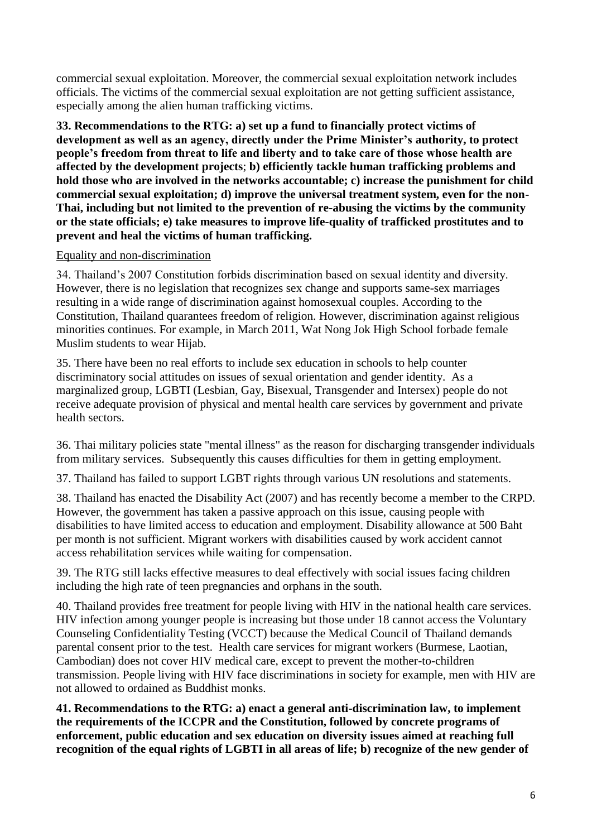commercial sexual exploitation. Moreover, the commercial sexual exploitation network includes officials. The victims of the commercial sexual exploitation are not getting sufficient assistance, especially among the alien human trafficking victims.

**33. Recommendations to the RTG: a) set up a fund to financially protect victims of development as well as an agency, directly under the Prime Minister's authority, to protect people's freedom from threat to life and liberty and to take care of those whose health are affected by the development projects**; **b) efficiently tackle human trafficking problems and hold those who are involved in the networks accountable; c) increase the punishment for child commercial sexual exploitation; d) improve the universal treatment system, even for the non-Thai, including but not limited to the prevention of re-abusing the victims by the community or the state officials; e) take measures to improve life-quality of trafficked prostitutes and to prevent and heal the victims of human trafficking.** 

## Equality and non-discrimination

34. Thailand's 2007 Constitution forbids discrimination based on sexual identity and diversity. However, there is no legislation that recognizes sex change and supports same-sex marriages resulting in a wide range of discrimination against homosexual couples. According to the Constitution, Thailand quarantees freedom of religion. However, discrimination against religious minorities continues. For example, in March 2011, Wat Nong Jok High School forbade female Muslim students to wear Hijab.

35. There have been no real efforts to include sex education in schools to help counter discriminatory social attitudes on issues of sexual orientation and gender identity. As a marginalized group, LGBTI (Lesbian, Gay, Bisexual, Transgender and Intersex) people do not receive adequate provision of physical and mental health care services by government and private health sectors.

36. Thai military policies state "mental illness" as the reason for discharging transgender individuals from military services. Subsequently this causes difficulties for them in getting employment.

37. Thailand has failed to support LGBT rights through various UN resolutions and statements.

38. Thailand has enacted the Disability Act (2007) and has recently become a member to the CRPD. However, the government has taken a passive approach on this issue, causing people with disabilities to have limited access to education and employment. Disability allowance at 500 Baht per month is not sufficient. Migrant workers with disabilities caused by work accident cannot access rehabilitation services while waiting for compensation.

39. The RTG still lacks effective measures to deal effectively with social issues facing children including the high rate of teen pregnancies and orphans in the south.

40. Thailand provides free treatment for people living with HIV in the national health care services. HIV infection among younger people is increasing but those under 18 cannot access the Voluntary Counseling Confidentiality Testing (VCCT) because the Medical Council of Thailand demands parental consent prior to the test. Health care services for migrant workers (Burmese, Laotian, Cambodian) does not cover HIV medical care, except to prevent the mother-to-children transmission. People living with HIV face discriminations in society for example, men with HIV are not allowed to ordained as Buddhist monks.

**41. Recommendations to the RTG: a) enact a general anti-discrimination law, to implement the requirements of the ICCPR and the Constitution, followed by concrete programs of enforcement, public education and sex education on diversity issues aimed at reaching full recognition of the equal rights of LGBTI in all areas of life; b) recognize of the new gender of**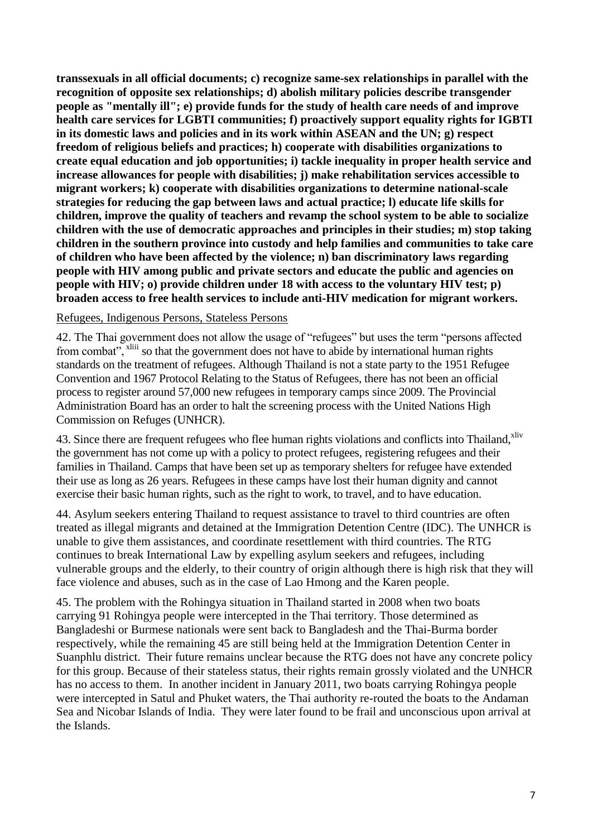**transsexuals in all official documents; c) recognize same-sex relationships in parallel with the recognition of opposite sex relationships; d) abolish military policies describe transgender people as "mentally ill"; e) provide funds for the study of health care needs of and improve health care services for LGBTI communities; f) proactively support equality rights for IGBTI in its domestic laws and policies and in its work within ASEAN and the UN; g) respect freedom of religious beliefs and practices; h) cooperate with disabilities organizations to create equal education and job opportunities; i) tackle inequality in proper health service and increase allowances for people with disabilities; j) make rehabilitation services accessible to migrant workers; k) cooperate with disabilities organizations to determine national-scale strategies for reducing the gap between laws and actual practice; l) educate life skills for children, improve the quality of teachers and revamp the school system to be able to socialize children with the use of democratic approaches and principles in their studies; m) stop taking children in the southern province into custody and help families and communities to take care of children who have been affected by the violence; n) ban discriminatory laws regarding people with HIV among public and private sectors and educate the public and agencies on people with HIV; o) provide children under 18 with access to the voluntary HIV test; p) broaden access to free health services to include anti-HIV medication for migrant workers.**

### Refugees, Indigenous Persons, Stateless Persons

42. The Thai government does not allow the usage of "refugees" but uses the term "persons affected from combat", <sup>xliii</sup> so that the government does not have to abide by international human rights standards on the treatment of refugees. Although Thailand is not a state party to the 1951 Refugee Convention and 1967 Protocol Relating to the Status of Refugees, there has not been an official process to register around 57,000 new refugees in temporary camps since 2009. The Provincial Administration Board has an order to halt the screening process with the United Nations High Commission on Refuges (UNHCR).

43. Since there are frequent refugees who flee human rights violations and conflicts into Thailand,<sup>xliv</sup> the government has not come up with a policy to protect refugees, registering refugees and their families in Thailand. Camps that have been set up as temporary shelters for refugee have extended their use as long as 26 years. Refugees in these camps have lost their human dignity and cannot exercise their basic human rights, such as the right to work, to travel, and to have education.

44. Asylum seekers entering Thailand to request assistance to travel to third countries are often treated as illegal migrants and detained at the Immigration Detention Centre (IDC). The UNHCR is unable to give them assistances, and coordinate resettlement with third countries. The RTG continues to break International Law by expelling asylum seekers and refugees, including vulnerable groups and the elderly, to their country of origin although there is high risk that they will face violence and abuses, such as in the case of Lao Hmong and the Karen people.

45. The problem with the Rohingya situation in Thailand started in 2008 when two boats carrying 91 Rohingya people were intercepted in the Thai territory. Those determined as Bangladeshi or Burmese nationals were sent back to Bangladesh and the Thai-Burma border respectively, while the remaining 45 are still being held at the Immigration Detention Center in Suanphlu district. Their future remains unclear because the RTG does not have any concrete policy for this group. Because of their stateless status, their rights remain grossly violated and the UNHCR has no access to them. In another incident in January 2011, two boats carrying Rohingya people were intercepted in Satul and Phuket waters, the Thai authority re-routed the boats to the Andaman Sea and Nicobar Islands of India. They were later found to be frail and unconscious upon arrival at the Islands.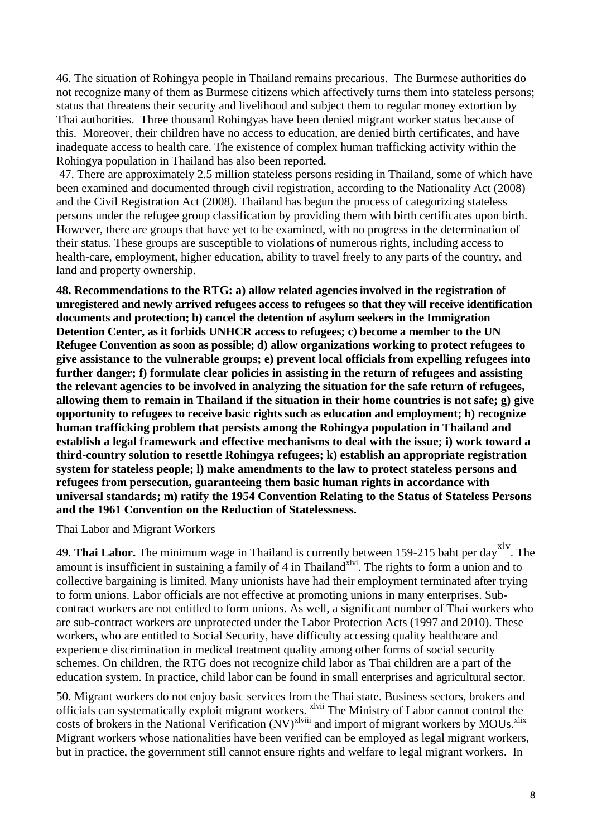46. The situation of Rohingya people in Thailand remains precarious. The Burmese authorities do not recognize many of them as Burmese citizens which affectively turns them into stateless persons; status that threatens their security and livelihood and subject them to regular money extortion by Thai authorities. Three thousand Rohingyas have been denied migrant worker status because of this. Moreover, their children have no access to education, are denied birth certificates, and have inadequate access to health care. The existence of complex human trafficking activity within the Rohingya population in Thailand has also been reported.

47. There are approximately 2.5 million stateless persons residing in Thailand, some of which have been examined and documented through civil registration, according to the Nationality Act (2008) and the Civil Registration Act (2008). Thailand has begun the process of categorizing stateless persons under the refugee group classification by providing them with birth certificates upon birth. However, there are groups that have yet to be examined, with no progress in the determination of their status. These groups are susceptible to violations of numerous rights, including access to health-care, employment, higher education, ability to travel freely to any parts of the country, and land and property ownership.

**48. Recommendations to the RTG: a) allow related agencies involved in the registration of unregistered and newly arrived refugees access to refugees so that they will receive identification documents and protection; b) cancel the detention of asylum seekers in the Immigration Detention Center, as it forbids UNHCR access to refugees; c) become a member to the UN Refugee Convention as soon as possible; d) allow organizations working to protect refugees to give assistance to the vulnerable groups; e) prevent local officials from expelling refugees into**  further danger; f) formulate clear policies in assisting in the return of refugees and assisting **the relevant agencies to be involved in analyzing the situation for the safe return of refugees, allowing them to remain in Thailand if the situation in their home countries is not safe; g) give opportunity to refugees to receive basic rights such as education and employment; h) recognize human trafficking problem that persists among the Rohingya population in Thailand and establish a legal framework and effective mechanisms to deal with the issue; i) work toward a third-country solution to resettle Rohingya refugees; k) establish an appropriate registration system for stateless people; l) make amendments to the law to protect stateless persons and refugees from persecution, guaranteeing them basic human rights in accordance with universal standards; m) ratify the 1954 Convention Relating to the Status of Stateless Persons and the 1961 Convention on the Reduction of Statelessness.**

### Thai Labor and Migrant Workers

49. **Thai Labor.** The minimum wage in Thailand is currently between 159-215 baht per day<sup>xlv</sup>. The amount is insufficient in sustaining a family of 4 in Thailand<sup>xlvi</sup>. The rights to form a union and to collective bargaining is limited. Many unionists have had their employment terminated after trying to form unions. Labor officials are not effective at promoting unions in many enterprises. Subcontract workers are not entitled to form unions. As well, a significant number of Thai workers who are sub-contract workers are unprotected under the Labor Protection Acts (1997 and 2010). These workers, who are entitled to Social Security, have difficulty accessing quality healthcare and experience discrimination in medical treatment quality among other forms of social security schemes. On children, the RTG does not recognize child labor as Thai children are a part of the education system. In practice, child labor can be found in small enterprises and agricultural sector.

50. Migrant workers do not enjoy basic services from the Thai state. Business sectors, brokers and officials can systematically exploit migrant workers. <sup>xlvii</sup> The Ministry of Labor cannot control the costs of brokers in the National Verification (NV)<sup>xlviii</sup> and import of migrant workers by MOUs.<sup>xlix</sup> Migrant workers whose nationalities have been verified can be employed as legal migrant workers, but in practice, the government still cannot ensure rights and welfare to legal migrant workers. In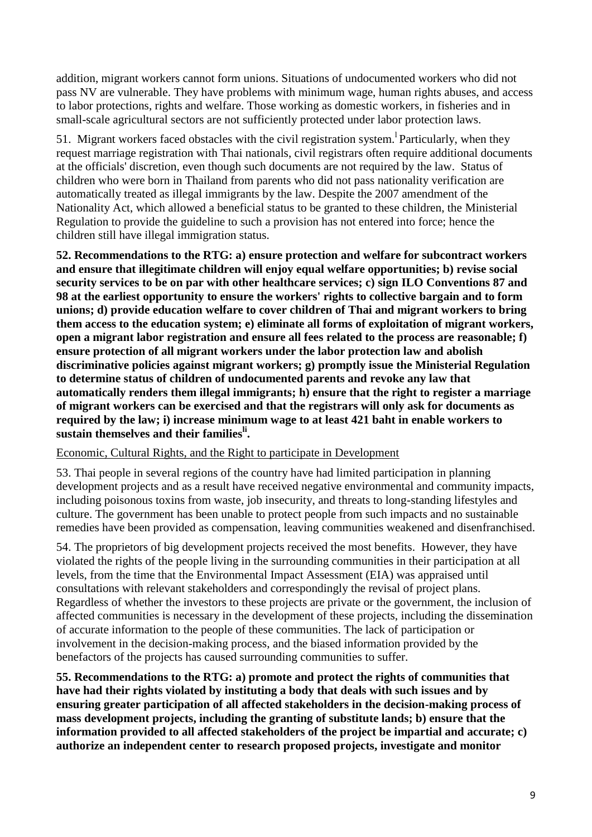addition, migrant workers cannot form unions. Situations of undocumented workers who did not pass NV are vulnerable. They have problems with minimum wage, human rights abuses, and access to labor protections, rights and welfare. Those working as domestic workers, in fisheries and in small-scale agricultural sectors are not sufficiently protected under labor protection laws.

51. Migrant workers faced obstacles with the civil registration system. Particularly, when they request marriage registration with Thai nationals, civil registrars often require additional documents at the officials' discretion, even though such documents are not required by the law. Status of children who were born in Thailand from parents who did not pass nationality verification are automatically treated as illegal immigrants by the law. Despite the 2007 amendment of the Nationality Act, which allowed a beneficial status to be granted to these children, the Ministerial Regulation to provide the guideline to such a provision has not entered into force; hence the children still have illegal immigration status.

**52. Recommendations to the RTG: a) ensure protection and welfare for subcontract workers and ensure that illegitimate children will enjoy equal welfare opportunities; b) revise social security services to be on par with other healthcare services; c) sign ILO Conventions 87 and 98 at the earliest opportunity to ensure the workers' rights to collective bargain and to form unions; d) provide education welfare to cover children of Thai and migrant workers to bring them access to the education system; e) eliminate all forms of exploitation of migrant workers, open a migrant labor registration and ensure all fees related to the process are reasonable; f) ensure protection of all migrant workers under the labor protection law and abolish discriminative policies against migrant workers; g) promptly issue the Ministerial Regulation to determine status of children of undocumented parents and revoke any law that automatically renders them illegal immigrants; h) ensure that the right to register a marriage of migrant workers can be exercised and that the registrars will only ask for documents as required by the law; i) increase minimum wage to at least 421 baht in enable workers to sustain themselves and their familiesli .**

### Economic, Cultural Rights, and the Right to participate in Development

53. Thai people in several regions of the country have had limited participation in planning development projects and as a result have received negative environmental and community impacts, including poisonous toxins from waste, job insecurity, and threats to long-standing lifestyles and culture. The government has been unable to protect people from such impacts and no sustainable remedies have been provided as compensation, leaving communities weakened and disenfranchised.

54. The proprietors of big development projects received the most benefits. However, they have violated the rights of the people living in the surrounding communities in their participation at all levels, from the time that the Environmental Impact Assessment (EIA) was appraised until consultations with relevant stakeholders and correspondingly the revisal of project plans. Regardless of whether the investors to these projects are private or the government, the inclusion of affected communities is necessary in the development of these projects, including the dissemination of accurate information to the people of these communities. The lack of participation or involvement in the decision-making process, and the biased information provided by the benefactors of the projects has caused surrounding communities to suffer.

**55. Recommendations to the RTG: a) promote and protect the rights of communities that have had their rights violated by instituting a body that deals with such issues and by ensuring greater participation of all affected stakeholders in the decision-making process of mass development projects, including the granting of substitute lands; b) ensure that the information provided to all affected stakeholders of the project be impartial and accurate; c) authorize an independent center to research proposed projects, investigate and monitor**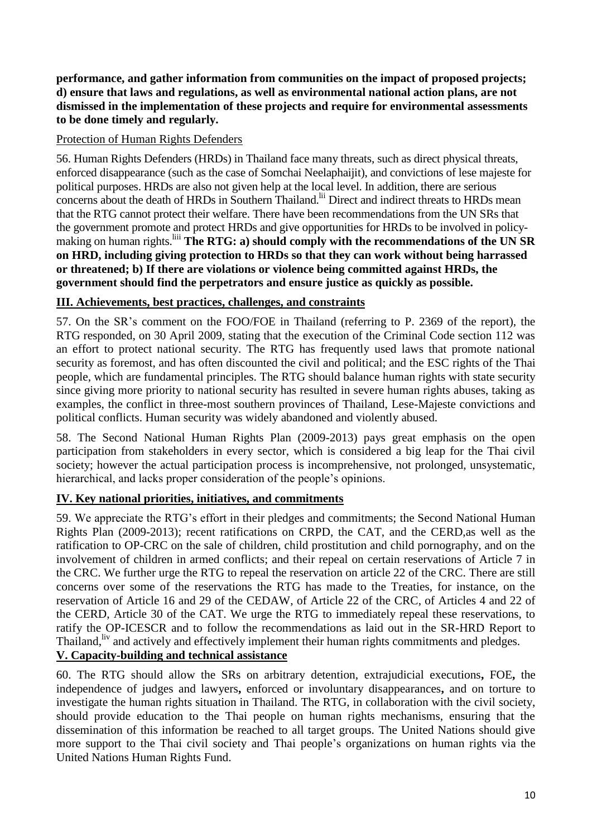**performance, and gather information from communities on the impact of proposed projects; d) ensure that laws and regulations, as well as environmental national action plans, are not dismissed in the implementation of these projects and require for environmental assessments to be done timely and regularly.**

## Protection of Human Rights Defenders

56. Human Rights Defenders (HRDs) in Thailand face many threats, such as direct physical threats, enforced disappearance (such as the case of Somchai Neelaphaijit), and convictions of lese majeste for political purposes. HRDs are also not given help at the local level. In addition, there are serious concerns about the death of HRDs in Southern Thailand.<sup>lii</sup> Direct and indirect threats to HRDs mean that the RTG cannot protect their welfare. There have been recommendations from the UN SRs that the government promote and protect HRDs and give opportunities for HRDs to be involved in policymaking on human rights.<sup>liii</sup> The RTG: a) should comply with the recommendations of the UN SR **on HRD, including giving protection to HRDs so that they can work without being harrassed or threatened; b) If there are violations or violence being committed against HRDs, the government should find the perpetrators and ensure justice as quickly as possible.** 

## **III. Achievements, best practices, challenges, and constraints**

57. On the SR's comment on the FOO/FOE in Thailand (referring to P. 2369 of the report), the RTG responded, on 30 April 2009, stating that the execution of the Criminal Code section 112 was an effort to protect national security. The RTG has frequently used laws that promote national security as foremost, and has often discounted the civil and political; and the ESC rights of the Thai people, which are fundamental principles. The RTG should balance human rights with state security since giving more priority to national security has resulted in severe human rights abuses, taking as examples, the conflict in three-most southern provinces of Thailand, Lese-Majeste convictions and political conflicts. Human security was widely abandoned and violently abused.

58. The Second National Human Rights Plan (2009-2013) pays great emphasis on the open participation from stakeholders in every sector, which is considered a big leap for the Thai civil society; however the actual participation process is incomprehensive, not prolonged, unsystematic, hierarchical, and lacks proper consideration of the people's opinions.

## **IV. Key national priorities, initiatives, and commitments**

59. We appreciate the RTG's effort in their pledges and commitments; the Second National Human Rights Plan (2009-2013); recent ratifications on CRPD, the CAT, and the CERD,as well as the ratification to OP-CRC on the sale of children, child prostitution and child pornography, and on the involvement of children in armed conflicts; and their repeal on certain reservations of Article 7 in the CRC. We further urge the RTG to repeal the reservation on article 22 of the CRC. There are still concerns over some of the reservations the RTG has made to the Treaties, for instance, on the reservation of Article 16 and 29 of the CEDAW, of Article 22 of the CRC, of Articles 4 and 22 of the CERD, Article 30 of the CAT. We urge the RTG to immediately repeal these reservations, to ratify the OP-ICESCR and to follow the recommendations as laid out in the SR-HRD Report to Thailand, <sup>liv</sup> and actively and effectively implement their human rights commitments and pledges. **V. Capacity-building and technical assistance**

60. The RTG should allow the SRs on arbitrary detention, [extrajudicial executions](http://www2.ohchr.org/english/issues/executions/index.htm)**,** FOE**,** the independence of judges and lawyers**,** enforced or involuntary disappearances**,** and on torture to investigate the human rights situation in Thailand. The RTG, in collaboration with the civil society, should provide education to the Thai people on human rights mechanisms, ensuring that the dissemination of this information be reached to all target groups. The United Nations should give more support to the Thai civil society and Thai people's organizations on human rights via the United Nations Human Rights Fund.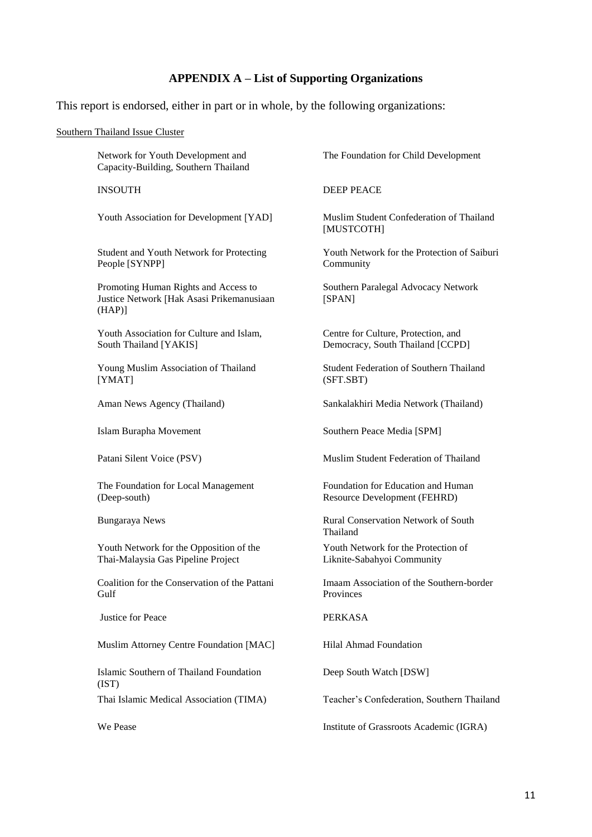## **APPENDIX A – List of Supporting Organizations**

This report is endorsed, either in part or in whole, by the following organizations:

#### Southern Thailand Issue Cluster

Network for Youth Development and Capacity-Building, Southern Thailand

Youth Association for Development [YAD] Muslim Student Confederation of Thailand

Student and Youth Network for Protecting People [SYNPP]

Promoting Human Rights and Access to Justice Network [Hak Asasi Prikemanusiaan (HAP)]

Youth Association for Culture and Islam, South Thailand [YAKIS]

Young Muslim Association of Thailand [YMAT]

The Foundation for Local Management (Deep-south)

Youth Network for the Opposition of the Thai-Malaysia Gas Pipeline Project

Coalition for the Conservation of the Pattani Gulf

Iustice for Peace PERKASA

Muslim Attorney Centre Foundation [MAC] Hilal Ahmad Foundation

Islamic Southern of Thailand Foundation (IST)

The Foundation for Child Development

INSOUTH DEEP PEACE

[MUSTCOTH]

Youth Network for the Protection of Saiburi Community

Southern Paralegal Advocacy Network [SPAN]

Centre for Culture, Protection, and Democracy, South Thailand [CCPD]

Student Federation of Southern Thailand (SFT.SBT)

Aman News Agency (Thailand) Sankalakhiri Media Network (Thailand)

Islam Burapha Movement Southern Peace Media [SPM]

Patani Silent Voice (PSV) Muslim Student Federation of Thailand

Foundation for Education and Human Resource Development (FEHRD)

Bungaraya News Rural Conservation Network of South Thailand

> Youth Network for the Protection of Liknite-Sabahyoi Community

Imaam Association of the Southern-border Provinces

Deep South Watch [DSW]

Thai Islamic Medical Association (TIMA) Teacher's Confederation, Southern Thailand

We Pease Institute of Grassroots Academic (IGRA)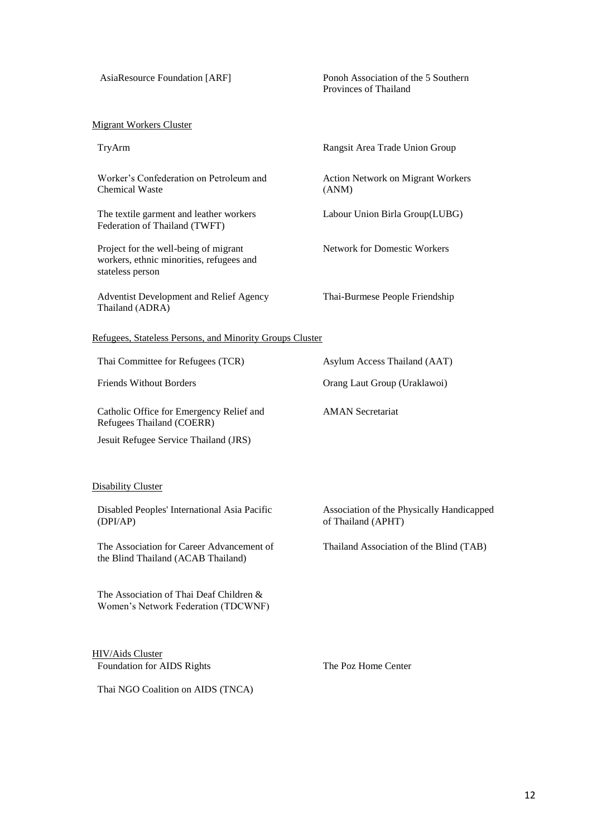#### AsiaResource Foundation [ARF] Ponoh Association of the 5 Southern Provinces of Thailand

#### Migrant Workers Cluster

Worker's Confederation on Petroleum and Chemical Waste

The textile garment and leather workers Federation of Thailand (TWFT)

Project for the well-being of migrant workers, ethnic minorities, refugees and stateless person

Adventist Development and Relief Agency Thailand (ADRA)

TryArm Rangsit Area Trade Union Group

Action Network on Migrant Workers (ANM)

Labour Union Birla Group(LUBG)

Network for Domestic Workers

Thai-Burmese People Friendship

AMAN Secretariat

of Thailand (APHT)

#### Refugees, Stateless Persons, and Minority Groups Cluster

Thai Committee for Refugees (TCR) Asylum Access Thailand (AAT)

Friends Without Borders **Canadian Crane Contains Crane Contains Crane Contains Crane Crane Crane Crane Crane Crane Crane Crane Crane Crane Crane Crane Crane Crane Crane Crane Crane Crane Crane Crane Crane Crane Crane Crane** 

Catholic Office for Emergency Relief and Refugees Thailand (COERR)

Jesuit Refugee Service Thailand (JRS)

#### Disability Cluster

Disabled Peoples' International Asia Pacific (DPI/AP)

The Association for Career Advancement of the Blind Thailand (ACAB Thailand)

The Association of Thai Deaf Children & Women's Network Federation (TDCWNF)

HIV/Aids Cluster Foundation for AIDS Rights The Poz Home Center

Thailand Association of the Blind (TAB)

Association of the Physically Handicapped

Thai NGO Coalition on AIDS (TNCA)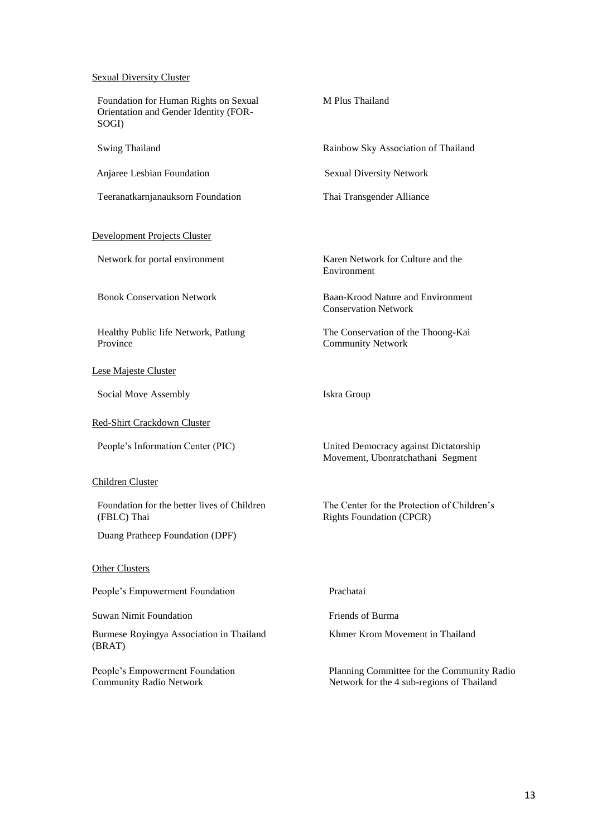#### **Sexual Diversity Cluster**

| Foundation for Human Rights on Sexual<br>Orientation and Gender Identity (FOR-<br>SOGI) | M Plus Thailand                                                                         |  |
|-----------------------------------------------------------------------------------------|-----------------------------------------------------------------------------------------|--|
| <b>Swing Thailand</b>                                                                   | Rainbow Sky Association of Thailand                                                     |  |
| Anjaree Lesbian Foundation                                                              | <b>Sexual Diversity Network</b>                                                         |  |
| Teeranatkarnjanauksorn Foundation                                                       | Thai Transgender Alliance                                                               |  |
| <b>Development Projects Cluster</b>                                                     |                                                                                         |  |
| Network for portal environment                                                          | Karen Network for Culture and the<br>Environment                                        |  |
| <b>Bonok Conservation Network</b>                                                       | Baan-Krood Nature and Environment<br><b>Conservation Network</b>                        |  |
| Healthy Public life Network, Patlung<br>Province                                        | The Conservation of the Thoong-Kai<br><b>Community Network</b>                          |  |
| Lese Majeste Cluster                                                                    |                                                                                         |  |
| Social Move Assembly                                                                    | Iskra Group                                                                             |  |
| Red-Shirt Crackdown Cluster                                                             |                                                                                         |  |
| People's Information Center (PIC)                                                       | United Democracy against Dictatorship<br>Movement, Ubonratchathani Segment              |  |
| Children Cluster                                                                        |                                                                                         |  |
| Foundation for the better lives of Children<br>(FBLC) Thai                              | The Center for the Protection of Children's<br><b>Rights Foundation (CPCR)</b>          |  |
| Duang Pratheep Foundation (DPF)                                                         |                                                                                         |  |
| <b>Other Clusters</b>                                                                   |                                                                                         |  |
| People's Empowerment Foundation                                                         | Prachatai                                                                               |  |
| <b>Suwan Nimit Foundation</b>                                                           | Friends of Burma                                                                        |  |
| Burmese Royingya Association in Thailand<br>(BRAT)                                      | Khmer Krom Movement in Thailand                                                         |  |
| People's Empowerment Foundation<br><b>Community Radio Network</b>                       | Planning Committee for the Community Radio<br>Network for the 4 sub-regions of Thailand |  |
|                                                                                         |                                                                                         |  |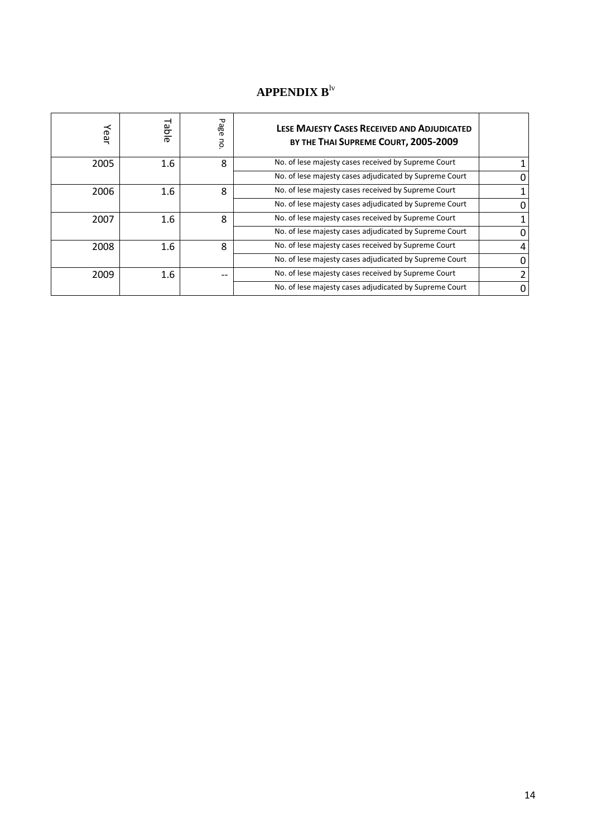# **APPENDIX B**lv

| Year | Table | Pa<br>ങ്<br>5 | LESE MAJESTY CASES RECEIVED AND ADJUDICATED<br>BY THE THAI SUPREME COURT, 2005-2009 |               |
|------|-------|---------------|-------------------------------------------------------------------------------------|---------------|
| 2005 | 1.6   | 8             | No. of lese majesty cases received by Supreme Court                                 |               |
|      |       |               | No. of lese majesty cases adjudicated by Supreme Court                              | 0             |
| 2006 | 1.6   | 8             | No. of lese majesty cases received by Supreme Court                                 |               |
|      |       |               | No. of lese majesty cases adjudicated by Supreme Court                              | $\Omega$      |
| 2007 | 1.6   | 8             | No. of lese majesty cases received by Supreme Court                                 |               |
|      |       |               | No. of lese majesty cases adjudicated by Supreme Court                              | 0             |
| 2008 | 1.6   | 8             | No. of lese majesty cases received by Supreme Court                                 | 4             |
|      |       |               | No. of lese majesty cases adjudicated by Supreme Court                              | 0             |
| 2009 | 1.6   | --            | No. of lese majesty cases received by Supreme Court                                 | $\mathcal{P}$ |
|      |       |               | No. of lese majesty cases adjudicated by Supreme Court                              | 0             |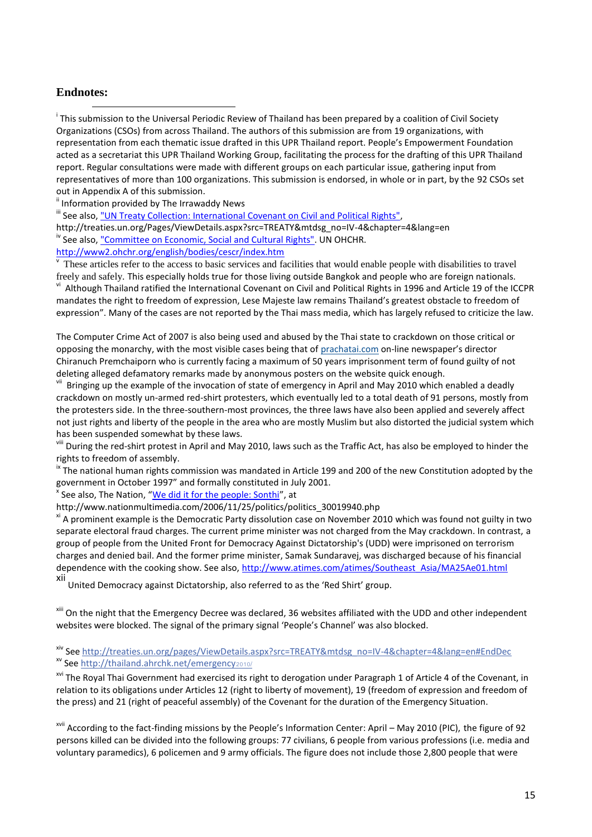### **Endnotes:**

**.** 

<sup>i</sup> This submission to the Universal Periodic Review of Thailand has been prepared by a coalition of Civil Society Organizations (CSOs) from across Thailand. The authors of this submission are from 19 organizations, with representation from each thematic issue drafted in this UPR Thailand report. People's Empowerment Foundation acted as a secretariat this UPR Thailand Working Group, facilitating the process for the drafting of this UPR Thailand report. Regular consultations were made with different groups on each particular issue, gathering input from representatives of more than 100 organizations. This submission is endorsed, in whole or in part, by the 92 CSOs set out in Appendix A of this submission.

<sup>ii</sup> Information provided by The Irrawaddy News

iii See also, ["UN Treaty Collection: International Covenant on Civil and Political Rights",](http://treaties.un.org/Pages/ViewDetails.aspx?src=TREATY&mtdsg_no=IV-4&chapter=4&lang=en)

http://treaties.un.org/Pages/ViewDetails.aspx?src=TREATY&mtdsg\_no=IV-4&chapter=4&lang=en <sup>iv</sup> See also, ["Committee on Economic, Social and Cultural Rights".](http://www2.ohchr.org/english/bodies/cescr/index.htm) UN OHCHR.

<http://www2.ohchr.org/english/bodies/cescr/index.htm>

v These articles refer to the access to basic services and facilities that would enable people with disabilities to travel freely and safely. This especially holds true for those living outside Bangkok and people who are foreign nationals. vi Although Thailand ratified the International Covenant on Civil and Political Rights in 1996 and Article 19 of the ICCPR mandates the right to freedom of expression, Lese Majeste law remains Thailand's greatest obstacle to freedom of expression". Many of the cases are not reported by the Thai mass media, which has largely refused to criticize the law.

The Computer Crime Act of 2007 is also being used and abused by the Thai state to crackdown on those critical or opposing the monarchy, with the most visible cases being that of [prachatai.com](http://prachatai.com/) on-line newspaper's director Chiranuch Premchaiporn who is currently facing a maximum of 50 years imprisonment term of found guilty of not deleting alleged defamatory remarks made by anonymous posters on the website quick enough.

<sup>vii</sup> Bringing up the example of the invocation of state of emergency in April and May 2010 which enabled a deadly crackdown on mostly un-armed red-shirt protesters, which eventually led to a total death of 91 persons, mostly from the protesters side. In the three-southern-most provinces, the three laws have also been applied and severely affect not just rights and liberty of the people in the area who are mostly Muslim but also distorted the judicial system which has been suspended somewhat by these laws.

<sup>viii</sup> During the red-shirt protest in April and May 2010, laws such as the Traffic Act, has also be employed to hinder the rights to freedom of assembly.

<sup>ix</sup> The national human rights commission was mandated in Article 199 and 200 of the new Constitution adopted by the government in October 1997" and formally constituted in July 2001.

<sup>x</sup> See also, The Nation, "<u>[We did it for the people: Sonthi](http://www.nationmultimedia.com/2006/11/25/politics/politics_30019940.php)</u>", at

http://www.nationmultimedia.com/2006/11/25/politics/politics\_30019940.php

xi A prominent example is the Democratic Party dissolution case on November 2010 which was found not guilty in two separate electoral fraud charges. The current prime minister was not charged from the May crackdown. In contrast, a group of people from the United Front for Democracy Against Dictatorship's (UDD) were imprisoned on terrorism charges and denied bail. And the former prime minister, Samak Sundaravej, was discharged because of his financial dependence with the cooking show. See also, [http://www.atimes.com/atimes/Southeast\\_Asia/MA25Ae01.html](http://www.atimes.com/atimes/Southeast_Asia/MA25Ae01.html)

xii United Democracy against Dictatorship, also referred to as the 'Red Shirt' group.

<sup>xiii</sup> On the night that the Emergency Decree was declared, 36 websites affiliated with the UDD and other independent websites were blocked. The signal of the primary signal 'People's Channel' was also blocked.

xiv See [http://treaties.un.org/pages/ViewDetails.aspx?src=TREATY&mtdsg\\_no=IV-4&chapter=4&lang=en#EndDec](http://treaties.un.org/pages/ViewDetails.aspx?src=TREATY&mtdsg_no=IV-4&chapter=4&lang=en#EndDec) xv See [http://thailand.ahrchk.net/emergency](http://thailand.ahrchk.net/emergency2010/)2010/

<sup>xvi</sup> The Royal Thai Government had exercised its right to derogation under Paragraph 1 of Article 4 of the Covenant, in relation to its obligations under Articles 12 (right to liberty of movement), 19 (freedom of expression and freedom of the press) and 21 (right of peaceful assembly) of the Covenant for the duration of the Emergency Situation.

xvii According to the fact-finding missions by the People's Information Center: April – May 2010 (PIC), the figure of 92 persons killed can be divided into the following groups: 77 civilians, 6 people from various professions (i.e. media and voluntary paramedics), 6 policemen and 9 army officials. The figure does not include those 2,800 people that were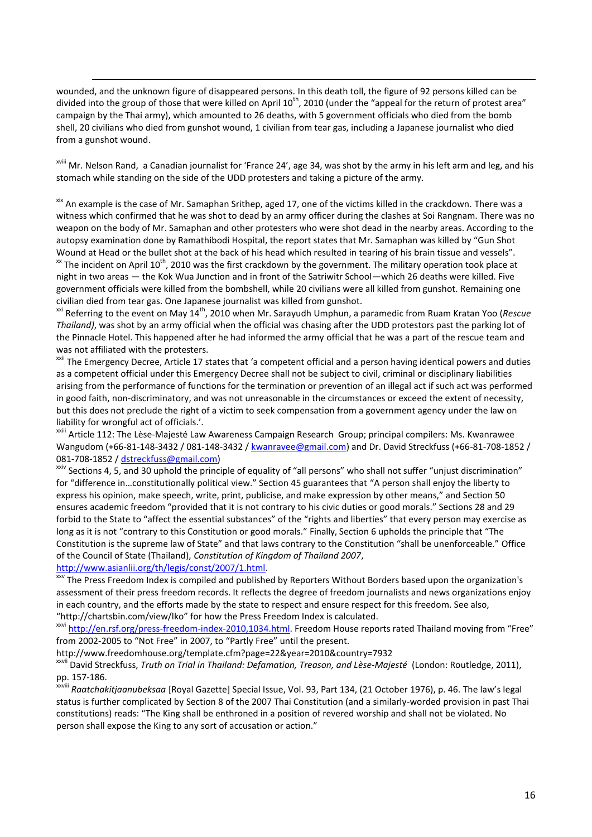wounded, and the unknown figure of disappeared persons. In this death toll, the figure of 92 persons killed can be divided into the group of those that were killed on April  $10^{th}$ , 2010 (under the "appeal for the return of protest area" campaign by the Thai army), which amounted to 26 deaths, with 5 government officials who died from the bomb shell, 20 civilians who died from gunshot wound, 1 civilian from tear gas, including a Japanese journalist who died from a gunshot wound.

xviii Mr. Nelson Rand, a Canadian journalist for 'France 24', age 34, was shot by the army in his left arm and leg, and his stomach while standing on the side of the UDD protesters and taking a picture of the army.

xix An example is the case of Mr. Samaphan Srithep, aged 17, one of the victims killed in the crackdown. There was a witness which confirmed that he was shot to dead by an army officer during the clashes at Soi Rangnam. There was no weapon on the body of Mr. Samaphan and other protesters who were shot dead in the nearby areas. According to the autopsy examination done by Ramathibodi Hospital, the report states that Mr. Samaphan was killed by "Gun Shot Wound at Head or the bullet shot at the back of his head which resulted in tearing of his brain tissue and vessels".  $\frac{x}{x}$  The incident on April 10<sup>th</sup>, 2010 was the first crackdown by the government. The military operation took place at night in two areas — the Kok Wua Junction and in front of the Satriwitr School—which 26 deaths were killed. Five government officials were killed from the bombshell, while 20 civilians were all killed from gunshot. Remaining one civilian died from tear gas. One Japanese journalist was killed from gunshot.

xxi Referring to the event on May 14th, 2010 when Mr. Sarayudh Umphun, a paramedic from Ruam Kratan Yoo (*Rescue Thailand)*, was shot by an army official when the official was chasing after the UDD protestors past the parking lot of the Pinnacle Hotel. This happened after he had informed the army official that he was a part of the rescue team and was not affiliated with the protesters.

<sup>xxii</sup> The Emergency Decree, Article 17 states that 'a competent official and a person having identical powers and duties as a competent official under this Emergency Decree shall not be subject to civil, criminal or disciplinary liabilities arising from the performance of functions for the termination or prevention of an illegal act if such act was performed in good faith, non-discriminatory, and was not unreasonable in the circumstances or exceed the extent of necessity, but this does not preclude the right of a victim to seek compensation from a government agency under the law on liability for wrongful act of officials.'.

xxiii Article 112: The Lèse-Majesté Law Awareness Campaign Research Group; principal compilers: Ms. Kwanrawee Wangudom (+66-81-148-3432 / 081-148-3432 / [kwanravee@gmail.com\)](mailto:kwanravee@gmail.com) and Dr. David Streckfuss (+66-81-708-1852 / 081-708-1852 / [dstreckfuss@gmail.com\)](mailto:dstreckfuss@gmail.com)

<sup>xxiv</sup> Sections 4, 5, and 30 uphold the principle of equality of "all persons" who shall not suffer "unjust discrimination" for "difference in…constitutionally political view." Section 45 guarantees that "A person shall enjoy the liberty to express his opinion, make speech, write, print, publicise, and make expression by other means," and Section 50 ensures academic freedom "provided that it is not contrary to his civic duties or good morals." Sections 28 and 29 forbid to the State to "affect the essential substances" of the "rights and liberties" that every person may exercise as long as it is not "contrary to this Constitution or good morals." Finally, Section 6 upholds the principle that "The Constitution is the supreme law of State" and that laws contrary to the Constitution "shall be unenforceable." Office of the Council of State (Thailand), *Constitution of Kingdom of Thailand 2007*,

[http://www.asianlii.org/th/legis/const/2007/1.html.](http://www.asianlii.org/th/legis/const/2007/1.html)

1

xxv The Press Freedom Index is compiled and published by Reporters Without Borders based upon the organization's assessment of their press freedom records. It reflects the degree of freedom journalists and news organizations enjoy in each country, and the efforts made by the state to respect and ensure respect for this freedom. See also, "http://chartsbin.com/view/lko" for how the Press Freedom Index is calculated.

xxvi <http://en.rsf.org/press-freedom-index-2010,1034.html>. Freedom House reports rated Thailand moving from "Free" from 2002-2005 to "Not Free" in 2007, to "Partly Free" until the present.

http://www.freedomhouse.org/template.cfm?page=22&year=2010&country=7932

xxvii David Streckfuss, *Truth on Trial in Thailand: Defamation, Treason, and Lèse-Majesté* (London: Routledge, 2011), pp. 157-186.

xxviii *Raatchakitjaanubeksaa* [Royal Gazette] Special Issue, Vol. 93, Part 134, (21 October 1976), p. 46. The law's legal status is further complicated by Section 8 of the 2007 Thai Constitution (and a similarly-worded provision in past Thai constitutions) reads: "The King shall be enthroned in a position of revered worship and shall not be violated. No person shall expose the King to any sort of accusation or action."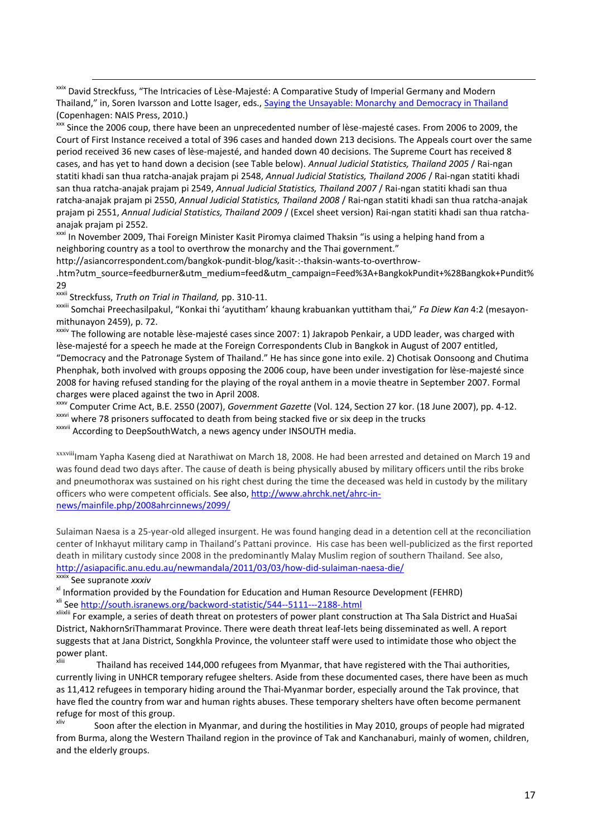xxix David Streckfuss, "The Intricacies of Lèse-Majesté: A Comparative Study of Imperial Germany and Modern Thailand," in, Soren Ivarsson and Lotte Isager, eds., [Saying the Unsayable: Monarchy](http://weareallhuman2.info/index.php?showtopic=49318) and Democracy in Thailand (Copenhagen: NAIS Press, 2010.)

xxx Since the 2006 coup, there have been an unprecedented number of lèse-majesté cases. From 2006 to 2009, the Court of First Instance received a total of 396 cases and handed down 213 decisions. The Appeals court over the same period received 36 new cases of lèse-majesté, and handed down 40 decisions. The Supreme Court has received 8 cases, and has yet to hand down a decision (see Table below). *Annual Judicial Statistics, Thailand 2005* / Rai-ngan statiti khadi san thua ratcha-anajak prajam pi 2548, *Annual Judicial Statistics, Thailand 2006* / Rai-ngan statiti khadi san thua ratcha-anajak prajam pi 2549, *Annual Judicial Statistics, Thailand 2007* / Rai-ngan statiti khadi san thua ratcha-anajak prajam pi 2550, *Annual Judicial Statistics, Thailand 2008* / Rai-ngan statiti khadi san thua ratcha-anajak prajam pi 2551, *Annual Judicial Statistics, Thailand 2009* / (Excel sheet version) Rai-ngan statiti khadi san thua ratchaanajak prajam pi 2552.

<sup>xxxi</sup> In November 2009, Thai Foreign Minister Kasit Piromya claimed Thaksin "is using a helping hand from a neighboring country as a tool to overthrow the monarchy and the Thai government."

http://asiancorrespondent.com/bangkok-pundit-blog/kasit-:-thaksin-wants-to-overthrow- .htm?utm\_source=feedburner&utm\_medium=feed&utm\_campaign=Feed%3A+BangkokPundit+%28Bangkok+Pundit% 29

xxxii Streckfuss, *Truth on Trial in Thailand,* pp. 310-11.

xxxiii Somchai Preechasilpakul, "Konkai thi 'ayutitham' khaung krabuankan yuttitham thai," *Fa Diew Kan* 4:2 (mesayonmithunayon 2459), p. 72.

xxxiv The following are notable lèse-majesté cases since 2007: 1) Jakrapob Penkair, a UDD leader, was charged with lèse-majesté for a speech he made at the Foreign Correspondents Club in Bangkok in August of 2007 entitled, "Democracy and the Patronage System of Thailand." He has since gone into exile. 2) Chotisak Oonsoong and Chutima Phenphak, both involved with groups opposing the 2006 coup, have been under investigation for lèse-majesté since 2008 for having refused standing for the playing of the royal anthem in a movie theatre in September 2007. Formal charges were placed against the two in April 2008.

xxxv Computer Crime Act, B.E. 2550 (2007), *Government Gazette* (Vol. 124, Section 27 kor. (18 June 2007), pp. 4-12. xxxvi where 78 prisoners suffocated to death from being stacked five or six deep in the trucks

xxxvii According to DeepSouthWatch, a news agency under INSOUTH media.

xxxviii<sub>l</sub>mam Yapha Kaseng died at Narathiwat on March 18, 2008. He had been arrested and detained on March 19 and was found dead two days after. The cause of death is being physically abused by military officers until the ribs broke and pneumothorax was sustained on his right chest during the time the deceased was held in custody by the military officers who were competent officials. See also, [http://www.ahrchk.net/ahrc-in](http://www.ahrchk.net/ahrc-in-news/mainfile.php/2008ahrcinnews/2099/)[news/mainfile.php/2008ahrcinnews/2099/](http://www.ahrchk.net/ahrc-in-news/mainfile.php/2008ahrcinnews/2099/)

Sulaiman Naesa is a 25-year-old alleged insurgent. He was found hanging dead in a detention cell at the reconciliation center of Inkhayut military camp in Thailand's Pattani province. His case has been well-publicized as the first reported death in military custody since 2008 in the predominantly Malay Muslim region of southern Thailand. See also, <http://asiapacific.anu.edu.au/newmandala/2011/03/03/how-did-sulaiman-naesa-die/>

xxxix See supranote *xxxiv*

1

<sup>xl</sup> Information provided by the Foundation for Education and Human Resource Development (FEHRD) x<sup>ii</sup> Se[e http://south.isranews.org/backword-statistic/544--5111---2188-.html](http://south.isranews.org/backword-statistic/544--5111---2188-.html)

xliixlii For example, a series of death threat on protesters of power plant construction at Tha Sala District and HuaSai District, NakhornSriThammarat Province. There were death threat leaf-lets being disseminated as well. A report suggests that at Jana District, Songkhla Province, the volunteer staff were used to intimidate those who object the power plant.

xliii Thailand has received 144,000 refugees from Myanmar, that have registered with the Thai authorities, currently living in UNHCR temporary refugee shelters. Aside from these documented cases, there have been as much as 11,412 refugees in temporary hiding around the Thai-Myanmar border, especially around the Tak province, that have fled the country from war and human rights abuses. These temporary shelters have often become permanent refuge for most of this group.

Soon after the election in Myanmar, and during the hostilities in May 2010, groups of people had migrated from Burma, along the Western Thailand region in the province of Tak and Kanchanaburi, mainly of women, children, and the elderly groups.